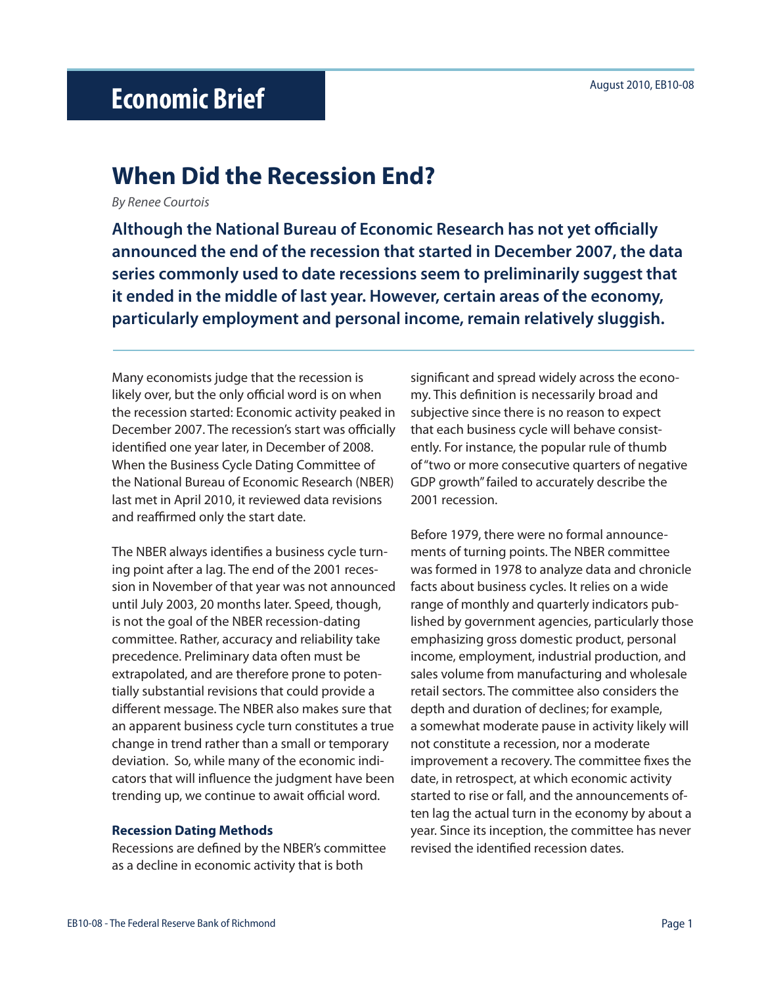# August 2010, EB10-08 **Economic Brief**

# **When Did the Recession End?**

*By Renee Courtois*

**Although the National Bureau of Economic Research has not yet officially announced the end of the recession that started in December 2007, the data series commonly used to date recessions seem to preliminarily suggest that it ended in the middle of last year. However, certain areas of the economy, particularly employment and personal income, remain relatively sluggish.**

Many economists judge that the recession is likely over, but the only official word is on when the recession started: Economic activity peaked in December 2007. The recession's start was officially identified one year later, in December of 2008. When the Business Cycle Dating Committee of the National Bureau of Economic Research (NBER) last met in April 2010, it reviewed data revisions and reaffirmed only the start date.

The NBER always identifies a business cycle turning point after a lag. The end of the 2001 recession in November of that year was not announced until July 2003, 20 months later. Speed, though, is not the goal of the NBER recession-dating committee. Rather, accuracy and reliability take precedence. Preliminary data often must be extrapolated, and are therefore prone to potentially substantial revisions that could provide a different message. The NBER also makes sure that an apparent business cycle turn constitutes a true change in trend rather than a small or temporary deviation. So, while many of the economic indicators that will influence the judgment have been trending up, we continue to await official word.

#### **Recession Dating Methods**

Recessions are defined by the NBER's committee as a decline in economic activity that is both

significant and spread widely across the economy. This definition is necessarily broad and subjective since there is no reason to expect that each business cycle will behave consistently. For instance, the popular rule of thumb of "two or more consecutive quarters of negative GDP growth" failed to accurately describe the 2001 recession.

Before 1979, there were no formal announcements of turning points. The NBER committee was formed in 1978 to analyze data and chronicle facts about business cycles. It relies on a wide range of monthly and quarterly indicators published by government agencies, particularly those emphasizing gross domestic product, personal income, employment, industrial production, and sales volume from manufacturing and wholesale retail sectors. The committee also considers the depth and duration of declines; for example, a somewhat moderate pause in activity likely will not constitute a recession, nor a moderate improvement a recovery. The committee fixes the date, in retrospect, at which economic activity started to rise or fall, and the announcements often lag the actual turn in the economy by about a year. Since its inception, the committee has never revised the identified recession dates.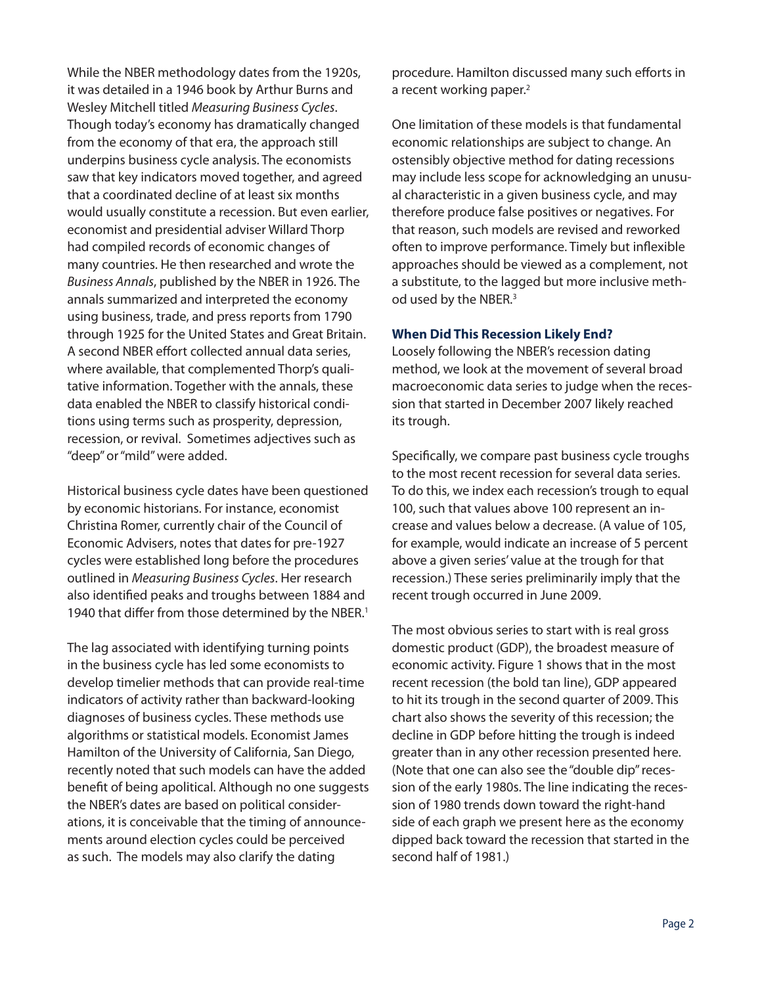While the NBER methodology dates from the 1920s, it was detailed in a 1946 book by Arthur Burns and Wesley Mitchell titled *Measuring Business Cycles*. Though today's economy has dramatically changed from the economy of that era, the approach still underpins business cycle analysis. The economists saw that key indicators moved together, and agreed that a coordinated decline of at least six months would usually constitute a recession. But even earlier, economist and presidential adviser Willard Thorp had compiled records of economic changes of many countries. He then researched and wrote the *Business Annals*, published by the NBER in 1926. The annals summarized and interpreted the economy using business, trade, and press reports from 1790 through 1925 for the United States and Great Britain. A second NBER effort collected annual data series, where available, that complemented Thorp's qualitative information. Together with the annals, these data enabled the NBER to classify historical conditions using terms such as prosperity, depression, recession, or revival. Sometimes adjectives such as "deep" or "mild" were added.

Historical business cycle dates have been questioned by economic historians. For instance, economist Christina Romer, currently chair of the Council of Economic Advisers, notes that dates for pre-1927 cycles were established long before the procedures outlined in *Measuring Business Cycles*. Her research also identified peaks and troughs between 1884 and 1940 that differ from those determined by the NBER.<sup>1</sup>

The lag associated with identifying turning points in the business cycle has led some economists to develop timelier methods that can provide real-time indicators of activity rather than backward-looking diagnoses of business cycles. These methods use algorithms or statistical models. Economist James Hamilton of the University of California, San Diego, recently noted that such models can have the added benefit of being apolitical. Although no one suggests the NBER's dates are based on political considerations, it is conceivable that the timing of announcements around election cycles could be perceived as such. The models may also clarify the dating

procedure. Hamilton discussed many such efforts in a recent working paper.<sup>2</sup>

One limitation of these models is that fundamental economic relationships are subject to change. An ostensibly objective method for dating recessions may include less scope for acknowledging an unusual characteristic in a given business cycle, and may therefore produce false positives or negatives. For that reason, such models are revised and reworked often to improve performance. Timely but inflexible approaches should be viewed as a complement, not a substitute, to the lagged but more inclusive method used by the NBER.<sup>3</sup>

## **When Did This Recession Likely End?**

Loosely following the NBER's recession dating method, we look at the movement of several broad macroeconomic data series to judge when the recession that started in December 2007 likely reached its trough.

Specifically, we compare past business cycle troughs to the most recent recession for several data series. To do this, we index each recession's trough to equal 100, such that values above 100 represent an increase and values below a decrease. (A value of 105, for example, would indicate an increase of 5 percent above a given series' value at the trough for that recession.) These series preliminarily imply that the recent trough occurred in June 2009.

The most obvious series to start with is real gross domestic product (GDP), the broadest measure of economic activity. Figure 1 shows that in the most recent recession (the bold tan line), GDP appeared to hit its trough in the second quarter of 2009. This chart also shows the severity of this recession; the decline in GDP before hitting the trough is indeed greater than in any other recession presented here. (Note that one can also see the "double dip" recession of the early 1980s. The line indicating the recession of 1980 trends down toward the right-hand side of each graph we present here as the economy dipped back toward the recession that started in the second half of 1981.)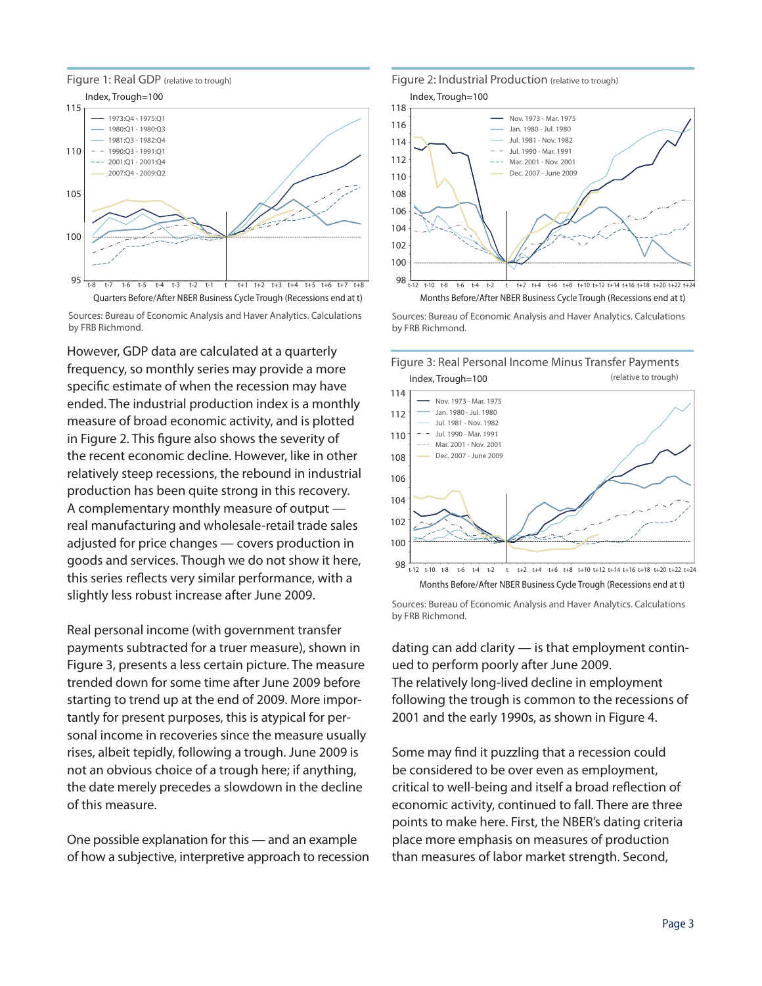



However, GDP data are calculated at a quarterly frequency, so monthly series may provide a more specific estimate of when the recession may have ended. The industrial production index is a monthly measure of broad economic activity, and is plotted in Figure 2. This figure also shows the severity of the recent economic decline. However, like in other relatively steep recessions, the rebound in industrial production has been quite strong in this recovery. A complementary monthly measure of output real manufacturing and wholesale-retail trade sales adjusted for price changes — covers production in goods and services. Though we do not show it here, this series reflects very similar performance, with a slightly less robust increase after June 2009.

Real personal income (with government transfer payments subtracted for a truer measure), shown in Figure 3, presents a less certain picture. The measure trended down for some time after June 2009 before starting to trend up at the end of 2009. More importantly for present purposes, this is atypical for personal income in recoveries since the measure usually rises, albeit tepidly, following a trough. June 2009 is not an obvious choice of a trough here; if anything, the date merely precedes a slowdown in the decline of this measure.

One possible explanation for this — and an example of how a subjective, interpretive approach to recession

### Figure 2: Industrial Production (relative to trough)



Sources: Bureau of Economic Analysis and Haver Analytics. Calculations by FRB Richmond.



Months Before/After NBER Business Cycle Trough (Recessions end at t)

Sources: Bureau of Economic Analysis and Haver Analytics. Calculations by FRB Richmond.

dating can add clarity — is that employment continued to perform poorly after June 2009. The relatively long-lived decline in employment following the trough is common to the recessions of 2001 and the early 1990s, as shown in Figure 4.

Some may find it puzzling that a recession could be considered to be over even as employment, critical to well-being and itself a broad reflection of economic activity, continued to fall. There are three points to make here. First, the NBER's dating criteria place more emphasis on measures of production than measures of labor market strength. Second,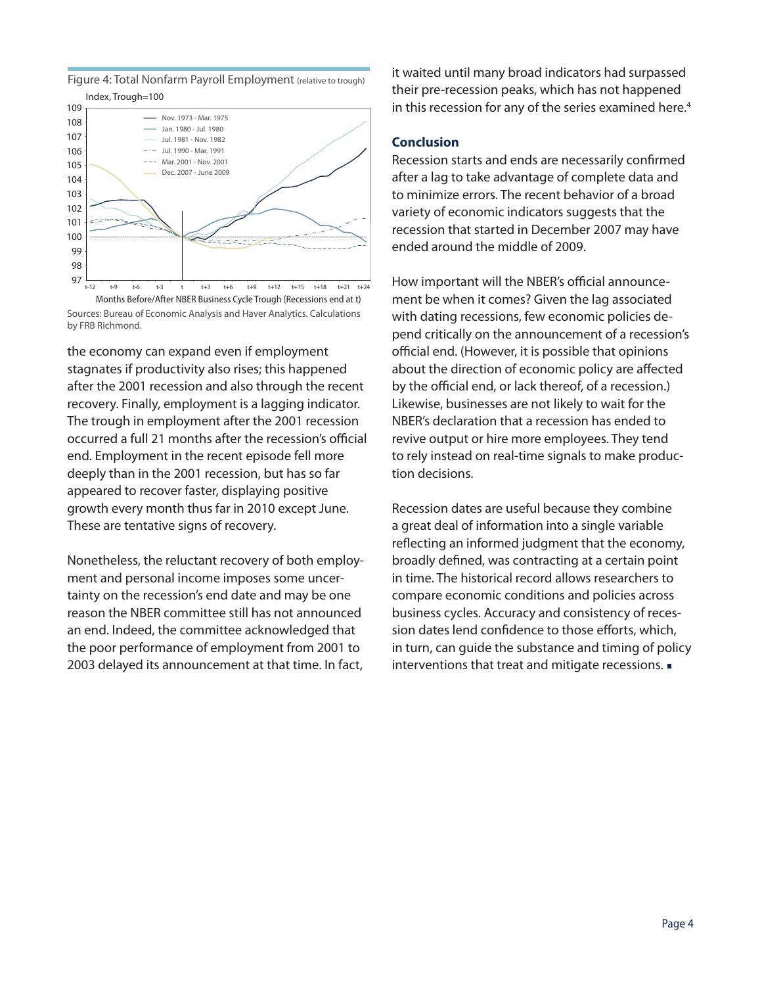Figure 4: Total Nonfarm Payroll Employment (relative to trough) Index, Trough=100



Sources: Bureau of Economic Analysis and Haver Analytics. Calculations by FRB Richmond.

the economy can expand even if employment stagnates if productivity also rises; this happened after the 2001 recession and also through the recent recovery. Finally, employment is a lagging indicator. The trough in employment after the 2001 recession occurred a full 21 months after the recession's official end. Employment in the recent episode fell more deeply than in the 2001 recession, but has so far appeared to recover faster, displaying positive growth every month thus far in 2010 except June. These are tentative signs of recovery.

Nonetheless, the reluctant recovery of both employment and personal income imposes some uncertainty on the recession's end date and may be one reason the NBER committee still has not announced an end. Indeed, the committee acknowledged that the poor performance of employment from 2001 to 2003 delayed its announcement at that time. In fact,

it waited until many broad indicators had surpassed their pre-recession peaks, which has not happened in this recession for any of the series examined here.<sup>4</sup>

### **Conclusion**

Recession starts and ends are necessarily confirmed after a lag to take advantage of complete data and to minimize errors. The recent behavior of a broad variety of economic indicators suggests that the recession that started in December 2007 may have ended around the middle of 2009.

How important will the NBER's official announcement be when it comes? Given the lag associated with dating recessions, few economic policies depend critically on the announcement of a recession's official end. (However, it is possible that opinions about the direction of economic policy are affected by the official end, or lack thereof, of a recession.) Likewise, businesses are not likely to wait for the NBER's declaration that a recession has ended to revive output or hire more employees. They tend to rely instead on real-time signals to make production decisions.

Recession dates are useful because they combine a great deal of information into a single variable reflecting an informed judgment that the economy, broadly defined, was contracting at a certain point in time. The historical record allows researchers to compare economic conditions and policies across business cycles. Accuracy and consistency of recession dates lend confidence to those efforts, which, in turn, can guide the substance and timing of policy interventions that treat and mitigate recessions.